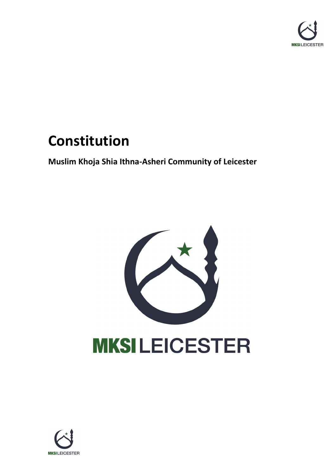

# **Constitution**

**Muslim Khoja Shia Ithna-Asheri Community of Leicester**



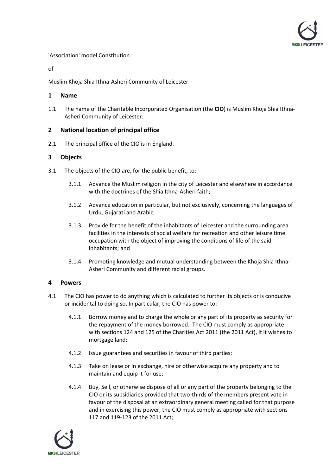

## 'Association' model Constitution

of

Muslim Khoja Shia Ithna-Asheri Community of Leicester

## **1 Name**

1.1 The name of the Charitable Incorporated Organisation (the **CIO**) is Muslim Khoja Shia Ithna-Asheri Community of Leicester.

# **2 National location of principal office**

2.1 The principal office of the CIO is in England.

# <span id="page-1-1"></span>**3 Objects**

- 3.1 The objects of the CIO are, for the public benefit, to:
	- 3.1.1 Advance the Muslim religion in the city of Leicester and elsewhere in accordance with the doctrines of the Shia Ithna-Asheri faith;
	- 3.1.2 Advance education in particular, but not exclusively, concerning the languages of Urdu, Gujarati and Arabic;
	- 3.1.3 Provide for the benefit of the inhabitants of Leicester and the surrounding area facilities in the interests of social welfare for recreation and other leisure time occupation with the object of improving the conditions of life of the said inhabitants; and
	- 3.1.4 Promoting knowledge and mutual understanding between the Khoja Shia Ithna-Asheri Community and different racial groups.

# **4 Powers**

- 4.1 The CIO has power to do anything which is calculated to further its objects or is conducive or incidental to doing so. In particular, the CIO has power to:
	- 4.1.1 Borrow money and to charge the whole or any part of its property as security for the repayment of the money borrowed. The CIO must comply as appropriate with sections 124 and 125 of the Charities Act 2011 (the 2011 Act), if it wishes to mortgage land;
	- 4.1.2 Issue guarantees and securities in favour of third parties;
	- 4.1.3 Take on lease or in exchange, hire or otherwise acquire any property and to maintain and equip it for use;
	- 4.1.4 Buy, Sell, or otherwise dispose of all or any part of the property belonging to the CIO or its subsidiaries provided that two-thirds of the members present vote in favour of the disposal at an extraordinary general meeting called for that purpose and in exercising this power, the CIO must comply as appropriate with sections 117 and 119-123 of the 2011 Act;

<span id="page-1-0"></span>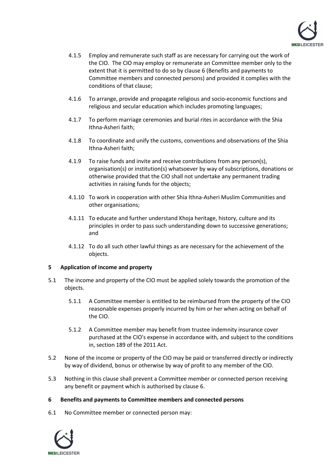

- 4.1.5 Employ and remunerate such staff as are necessary for carrying out the work of the CIO. The CIO may employ or remunerate an Committee member only to the extent that it is permitted to do so by claus[e 6](#page-2-0) (Benefits and payments to Committee members and connected persons) and provided it complies with the conditions of that clause;
- 4.1.6 To arrange, provide and propagate religious and socio-economic functions and religious and secular education which includes promoting languages;
- 4.1.7 To perform marriage ceremonies and burial rites in accordance with the Shia Ithna-Asheri faith;
- 4.1.8 To coordinate and unify the customs, conventions and observations of the Shia Ithna-Asheri faith;
- 4.1.9 To raise funds and invite and receive contributions from any person(s), organisation(s) or institution(s) whatsoever by way of subscriptions, donations or otherwise provided that the CIO shall not undertake any permanent trading activities in raising funds for the objects;
- 4.1.10 To work in cooperation with other Shia Ithna-Asheri Muslim Communities and other organisations;
- 4.1.11 To educate and further understand Khoja heritage, history, culture and its principles in order to pass such understanding down to successive generations; and
- 4.1.12 To do all such other lawful things as are necessary for the achievement of the objects.

#### **5 Application of income and property**

- 5.1 The income and property of the CIO must be applied solely towards the promotion of the objects.
	- 5.1.1 A Committee member is entitled to be reimbursed from the property of the CIO reasonable expenses properly incurred by him or her when acting on behalf of the CIO.
	- 5.1.2 A Committee member may benefit from trustee indemnity insurance cover purchased at the CIO's expense in accordance with, and subject to the conditions in, section 189 of the 2011 Act.
- 5.2 None of the income or property of the CIO may be paid or transferred directly or indirectly by way of dividend, bonus or otherwise by way of profit to any member of the CIO.
- 5.3 Nothing in this clause shall prevent a Committee member or connected person receiving any benefit or payment which is authorised by claus[e 6.](#page-2-0)

#### <span id="page-2-0"></span>**6 Benefits and payments to Committee members and connected persons**

6.1 No Committee member or connected person may:

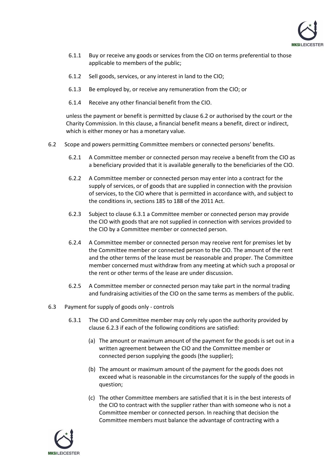

- 6.1.1 Buy or receive any goods or services from the CIO on terms preferential to those applicable to members of the public;
- 6.1.2 Sell goods, services, or any interest in land to the CIO;
- 6.1.3 Be employed by, or receive any remuneration from the CIO; or
- 6.1.4 Receive any other financial benefit from the CIO.

unless the payment or benefit is permitted by claus[e 6.2](#page-3-0) or authorised by the court or the Charity Commission. In this clause, a financial benefit means a benefit, direct or indirect, which is either money or has a monetary value.

- <span id="page-3-2"></span><span id="page-3-0"></span>6.2 Scope and powers permitting Committee members or connected persons' benefits.
	- 6.2.1 A Committee member or connected person may receive a benefit from the CIO as a beneficiary provided that it is available generally to the beneficiaries of the CIO.
	- 6.2.2 A Committee member or connected person may enter into a contract for the supply of services, or of goods that are supplied in connection with the provision of services, to the CIO where that is permitted in accordance with, and subject to the conditions in, sections 185 to 188 of the 2011 Act.
	- 6.2.3 Subject to claus[e 6.3.1](#page-3-1) a Committee member or connected person may provide the CIO with goods that are not supplied in connection with services provided to the CIO by a Committee member or connected person.
	- 6.2.4 A Committee member or connected person may receive rent for premises let by the Committee member or connected person to the CIO. The amount of the rent and the other terms of the lease must be reasonable and proper. The Committee member concerned must withdraw from any meeting at which such a proposal or the rent or other terms of the lease are under discussion.
	- 6.2.5 A Committee member or connected person may take part in the normal trading and fundraising activities of the CIO on the same terms as members of the public.
- <span id="page-3-3"></span><span id="page-3-1"></span>6.3 Payment for supply of goods only - controls
	- 6.3.1 The CIO and Committee member may only rely upon the authority provided by clause [6.2.3](#page-3-2) if each of the following conditions are satisfied:
		- (a) The amount or maximum amount of the payment for the goods is set out in a written agreement between the CIO and the Committee member or connected person supplying the goods (the supplier);
		- (b) The amount or maximum amount of the payment for the goods does not exceed what is reasonable in the circumstances for the supply of the goods in question;
		- (c) The other Committee members are satisfied that it is in the best interests of the CIO to contract with the supplier rather than with someone who is not a Committee member or connected person. In reaching that decision the Committee members must balance the advantage of contracting with a

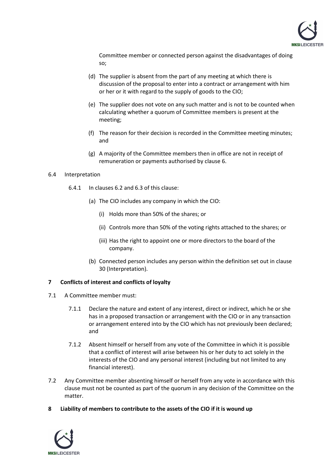

Committee member or connected person against the disadvantages of doing so;

- (d) The supplier is absent from the part of any meeting at which there is discussion of the proposal to enter into a contract or arrangement with him or her or it with regard to the supply of goods to the CIO;
- (e) The supplier does not vote on any such matter and is not to be counted when calculating whether a quorum of Committee members is present at the meeting;
- (f) The reason for their decision is recorded in the Committee meeting minutes; and
- (g) A majority of the Committee members then in office are not in receipt of remuneration or payments authorised by clause [6.](#page-2-0)

#### 6.4 Interpretation

- 6.4.1 In clauses [6.2](#page-3-0) and [6.3](#page-3-3) of this clause:
	- (a) The CIO includes any company in which the CIO:
		- (i) Holds more than 50% of the shares; or
		- (ii) Controls more than 50% of the voting rights attached to the shares; or
		- (iii) Has the right to appoint one or more directors to the board of the company.
	- (b) Connected person includes any person within the definition set out in clause [30](#page-23-0) (Interpretation).

#### **7 Conflicts of interest and conflicts of loyalty**

- 7.1 A Committee member must:
	- 7.1.1 Declare the nature and extent of any interest, direct or indirect, which he or she has in a proposed transaction or arrangement with the CIO or in any transaction or arrangement entered into by the CIO which has not previously been declared; and
	- 7.1.2 Absent himself or herself from any vote of the Committee in which it is possible that a conflict of interest will arise between his or her duty to act solely in the interests of the CIO and any personal interest (including but not limited to any financial interest).
- 7.2 Any Committee member absenting himself or herself from any vote in accordance with this clause must not be counted as part of the quorum in any decision of the Committee on the matter.
- **8 Liability of members to contribute to the assets of the CIO if it is wound up**

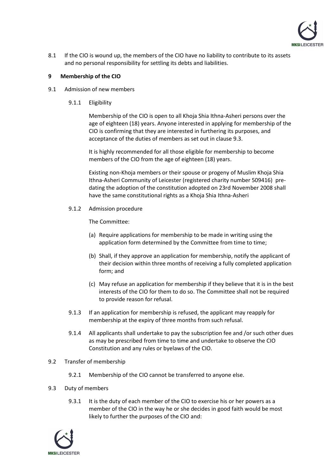

8.1 If the CIO is wound up, the members of the CIO have no liability to contribute to its assets and no personal responsibility for settling its debts and liabilities.

## **9 Membership of the CIO**

- 9.1 Admission of new members
	- 9.1.1 Eligibility

Membership of the CIO is open to all Khoja Shia Ithna-Asheri persons over the age of eighteen (18) years. Anyone interested in applying for membership of the CIO is confirming that they are interested in furthering its purposes, and acceptance of the duties of members as set out in claus[e 9.3.](#page-5-0)

It is highly recommended for all those eligible for membership to become members of the CIO from the age of eighteen (18) years.

Existing non-Khoja members or their spouse or progeny of Muslim Khoja Shia Ithna-Asheri Community of Leicester (registered charity number 509416) predating the adoption of the constitution adopted on 23rd November 2008 shall have the same constitutional rights as a Khoja Shia Ithna-Asheri

9.1.2 Admission procedure

The Committee:

- (a) Require applications for membership to be made in writing using the application form determined by the Committee from time to time;
- (b) Shall, if they approve an application for membership, notify the applicant of their decision within three months of receiving a fully completed application form; and
- (c) May refuse an application for membership if they believe that it is in the best interests of the CIO for them to do so. The Committee shall not be required to provide reason for refusal.
- 9.1.3 If an application for membership is refused, the applicant may reapply for membership at the expiry of three months from such refusal.
- 9.1.4 All applicants shall undertake to pay the subscription fee and /or such other dues as may be prescribed from time to time and undertake to observe the CIO Constitution and any rules or byelaws of the CIO.
- 9.2 Transfer of membership
	- 9.2.1 Membership of the CIO cannot be transferred to anyone else.
- <span id="page-5-0"></span>9.3 Duty of members
	- 9.3.1 It is the duty of each member of the CIO to exercise his or her powers as a member of the CIO in the way he or she decides in good faith would be most likely to further the purposes of the CIO and:

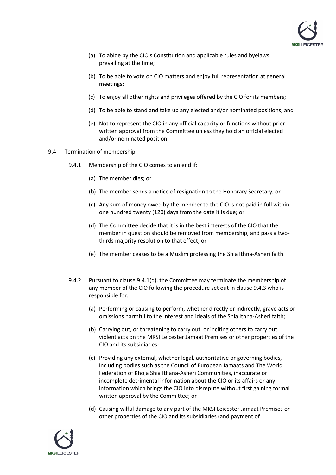

- (a) To abide by the CIO's Constitution and applicable rules and byelaws prevailing at the time;
- (b) To be able to vote on CIO matters and enjoy full representation at general meetings;
- (c) To enjoy all other rights and privileges offered by the CIO for its members;
- (d) To be able to stand and take up any elected and/or nominated positions; and
- (e) Not to represent the CIO in any official capacity or functions without prior written approval from the Committee unless they hold an official elected and/or nominated position.
- <span id="page-6-1"></span><span id="page-6-0"></span>9.4 Termination of membership
	- 9.4.1 Membership of the CIO comes to an end if:
		- (a) The member dies; or
		- (b) The member sends a notice of resignation to the Honorary Secretary; or
		- (c) Any sum of money owed by the member to the CIO is not paid in full within one hundred twenty (120) days from the date it is due; or
		- (d) The Committee decide that it is in the best interests of the CIO that the member in question should be removed from membership, and pass a twothirds majority resolution to that effect; or
		- (e) The member ceases to be a Muslim professing the Shia Ithna-Asheri faith.
	- 9.4.2 Pursuant to clause  $9.4.1(d)$ , the Committee may terminate the membership of any member of the CIO following the procedure set out in claus[e 9.4.3](#page-7-0) who is responsible for:
		- (a) Performing or causing to perform, whether directly or indirectly, grave acts or omissions harmful to the interest and ideals of the Shia Ithna-Asheri faith;
		- (b) Carrying out, or threatening to carry out, or inciting others to carry out violent acts on the MKSI Leicester Jamaat Premises or other properties of the CIO and its subsidiaries;
		- (c) Providing any external, whether legal, authoritative or governing bodies, including bodies such as the Council of European Jamaats and The World Federation of Khoja Shia Ithana-Asheri Communities, inaccurate or incomplete detrimental information about the CIO or its affairs or any information which brings the CIO into disrepute without first gaining formal written approval by the Committee; or
		- (d) Causing wilful damage to any part of the MKSI Leicester Jamaat Premises or other properties of the CIO and its subsidiaries (and payment of

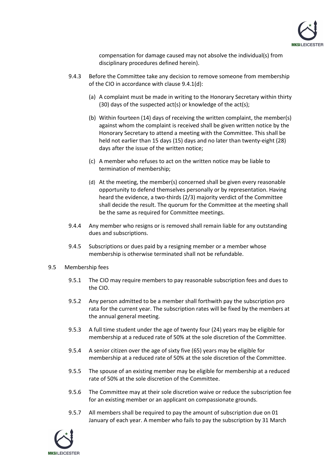

compensation for damage caused may not absolve the individual(s) from disciplinary procedures defined herein).

- <span id="page-7-0"></span>9.4.3 Before the Committee take any decision to remove someone from membership of the CIO in accordance with clause [9.4.1\(d\):](#page-6-0)
	- (a) A complaint must be made in writing to the Honorary Secretary within thirty (30) days of the suspected act(s) or knowledge of the act(s);
	- (b) Within fourteen (14) days of receiving the written complaint, the member(s) against whom the complaint is received shall be given written notice by the Honorary Secretary to attend a meeting with the Committee. This shall be held not earlier than 15 days (15) days and no later than twenty-eight (28) days after the issue of the written notice;
	- (c) A member who refuses to act on the written notice may be liable to termination of membership;
	- (d) At the meeting, the member(s) concerned shall be given every reasonable opportunity to defend themselves personally or by representation. Having heard the evidence, a two-thirds (2/3) majority verdict of the Committee shall decide the result. The quorum for the Committee at the meeting shall be the same as required for Committee meetings.
- 9.4.4 Any member who resigns or is removed shall remain liable for any outstanding dues and subscriptions.
- 9.4.5 Subscriptions or dues paid by a resigning member or a member whose membership is otherwise terminated shall not be refundable.
- 9.5 Membership fees
	- 9.5.1 The CIO may require members to pay reasonable subscription fees and dues to the CIO.
	- 9.5.2 Any person admitted to be a member shall forthwith pay the subscription pro rata for the current year. The subscription rates will be fixed by the members at the annual general meeting.
	- 9.5.3 A full time student under the age of twenty four (24) years may be eligible for membership at a reduced rate of 50% at the sole discretion of the Committee.
	- 9.5.4 A senior citizen over the age of sixty five (65) years may be eligible for membership at a reduced rate of 50% at the sole discretion of the Committee.
	- 9.5.5 The spouse of an existing member may be eligible for membership at a reduced rate of 50% at the sole discretion of the Committee.
	- 9.5.6 The Committee may at their sole discretion waive or reduce the subscription fee for an existing member or an applicant on compassionate grounds.
	- 9.5.7 All members shall be required to pay the amount of subscription due on 01 January of each year. A member who fails to pay the subscription by 31 March

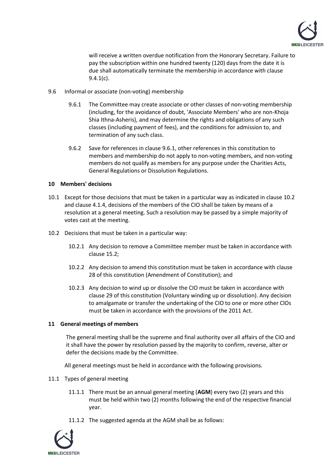

will receive a written overdue notification from the Honorary Secretary. Failure to pay the subscription within one hundred twenty (120) days from the date it is due shall automatically terminate the membership in accordance with clause [9.4.1\(c\).](#page-6-1)

- <span id="page-8-0"></span>9.6 Informal or associate (non-voting) membership
	- 9.6.1 The Committee may create associate or other classes of non-voting membership (including, for the avoidance of doubt, 'Associate Members' who are non-Khoja Shia Ithna-Asheris), and may determine the rights and obligations of any such classes (including payment of fees), and the conditions for admission to, and termination of any such class.
	- 9.6.2 Save for references in claus[e 9.6.1,](#page-8-0) other references in this constitution to members and membership do not apply to non-voting members, and non-voting members do not qualify as members for any purpose under the Charities Acts, General Regulations or Dissolution Regulations.

#### **10 Members' decisions**

- 10.1 Except for those decisions that must be taken in a particular way as indicated in claus[e 10.2](#page-8-1) and clause [4.1.4,](#page-1-0) decisions of the members of the CIO shall be taken by means of a resolution at a general meeting. Such a resolution may be passed by a simple majority of votes cast at the meeting.
- <span id="page-8-1"></span>10.2 Decisions that must be taken in a particular way:
	- 10.2.1 Any decision to remove a Committee member must be taken in accordance with clause [15.2;](#page-17-0)
	- 10.2.2 Any decision to amend this constitution must be taken in accordance with clause [28](#page-22-0) of this constitution (Amendment of Constitution); and
	- 10.2.3 Any decision to wind up or dissolve the CIO must be taken in accordance with clause [29](#page-22-1) of this constitution (Voluntary winding up or dissolution). Any decision to amalgamate or transfer the undertaking of the CIO to one or more other ClOs must be taken in accordance with the provisions of the 2011 Act.

#### <span id="page-8-3"></span>**11 General meetings of members**

The general meeting shall be the supreme and final authority over all affairs of the CIO and it shall have the power by resolution passed by the majority to confirm, reverse, alter or defer the decisions made by the Committee.

All general meetings must be held in accordance with the following provisions.

- <span id="page-8-2"></span>11.1 Types of general meeting
	- 11.1.1 There must be an annual general meeting (**AGM**) every two (2) years and this must be held within two (2) months following the end of the respective financial year.
	- 11.1.2 The suggested agenda at the AGM shall be as follows:

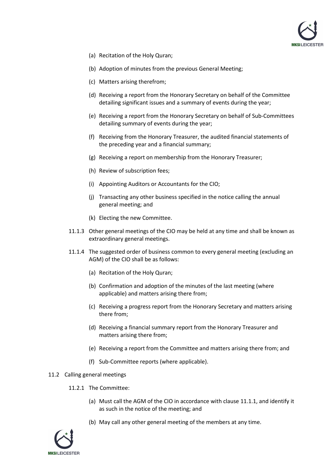

- (a) Recitation of the Holy Quran;
- (b) Adoption of minutes from the previous General Meeting;
- (c) Matters arising therefrom;
- (d) Receiving a report from the Honorary Secretary on behalf of the Committee detailing significant issues and a summary of events during the year;
- (e) Receiving a report from the Honorary Secretary on behalf of Sub-Committees detailing summary of events during the year;
- (f) Receiving from the Honorary Treasurer, the audited financial statements of the preceding year and a financial summary;
- (g) Receiving a report on membership from the Honorary Treasurer;
- (h) Review of subscription fees;
- (i) Appointing Auditors or Accountants for the CIO;
- (j) Transacting any other business specified in the notice calling the annual general meeting; and
- (k) Electing the new Committee.
- 11.1.3 Other general meetings of the CIO may be held at any time and shall be known as extraordinary general meetings.
- 11.1.4 The suggested order of business common to every general meeting (excluding an AGM) of the CIO shall be as follows:
	- (a) Recitation of the Holy Quran;
	- (b) Confirmation and adoption of the minutes of the last meeting (where applicable) and matters arising there from;
	- (c) Receiving a progress report from the Honorary Secretary and matters arising there from;
	- (d) Receiving a financial summary report from the Honorary Treasurer and matters arising there from;
	- (e) Receiving a report from the Committee and matters arising there from; and
	- (f) Sub-Committee reports (where applicable).

#### 11.2 Calling general meetings

- 11.2.1 The Committee:
	- (a) Must call the AGM of the CIO in accordance with clause [11.1.1,](#page-8-2) and identify it as such in the notice of the meeting; and
	- (b) May call any other general meeting of the members at any time.

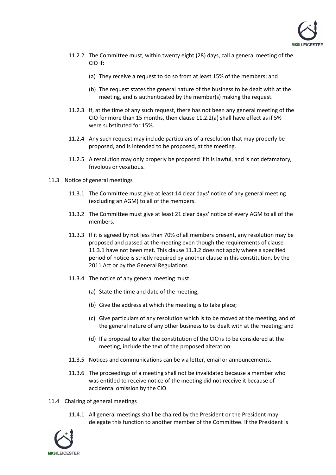

- <span id="page-10-3"></span><span id="page-10-0"></span>11.2.2 The Committee must, within twenty eight (28) days, call a general meeting of the CIO if:
	- (a) They receive a request to do so from at least 15% of the members; and
	- (b) The request states the general nature of the business to be dealt with at the meeting, and is authenticated by the member(s) making the request.
- 11.2.3 If, at the time of any such request, there has not been any general meeting of the CIO for more than 15 months, then claus[e 11.2.2\(a\)](#page-10-0) shall have effect as if 5% were substituted for 15%.
- 11.2.4 Any such request may include particulars of a resolution that may properly be proposed, and is intended to be proposed, at the meeting.
- 11.2.5 A resolution may only properly be proposed if it is lawful, and is not defamatory, frivolous or vexatious.
- <span id="page-10-4"></span><span id="page-10-2"></span><span id="page-10-1"></span>11.3 Notice of general meetings
	- 11.3.1 The Committee must give at least 14 clear days' notice of any general meeting (excluding an AGM) to all of the members.
	- 11.3.2 The Committee must give at least 21 clear days' notice of every AGM to all of the members.
	- 11.3.3 If it is agreed by not less than 70% of all members present, any resolution may be proposed and passed at the meeting even though the requirements of clause [11.3.1](#page-10-1) have not been met. This claus[e 11.3.2](#page-10-2) does not apply where a specified period of notice is strictly required by another clause in this constitution, by the 2011 Act or by the General Regulations.
	- 11.3.4 The notice of any general meeting must:
		- (a) State the time and date of the meeting;
		- (b) Give the address at which the meeting is to take place;
		- (c) Give particulars of any resolution which is to be moved at the meeting, and of the general nature of any other business to be dealt with at the meeting; and
		- (d) If a proposal to alter the constitution of the CIO is to be considered at the meeting, include the text of the proposed alteration.
	- 11.3.5 Notices and communications can be via letter, email or announcements.
	- 11.3.6 The proceedings of a meeting shall not be invalidated because a member who was entitled to receive notice of the meeting did not receive it because of accidental omission by the CIO.
- 11.4 Chairing of general meetings
	- 11.4.1 All general meetings shall be chaired by the President or the President may delegate this function to another member of the Committee. If the President is

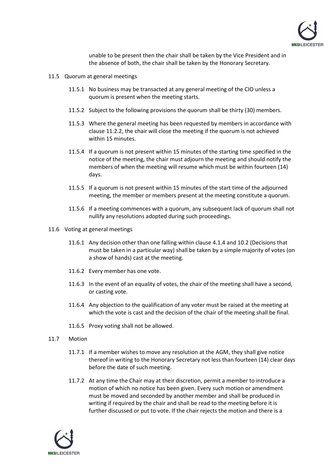

unable to be present then the chair shall be taken by the Vice President and in the absence of both, the chair shall be taken by the Honorary Secretary.

- 11.5 Quorum at general meetings
	- 11.5.1 No business may be transacted at any general meeting of the CIO unless a quorum is present when the meeting starts.
	- 11.5.2 Subject to the following provisions the quorum shall be thirty (30) members.
	- 11.5.3 Where the general meeting has been requested by members in accordance with clause [11.2.2,](#page-10-3) the chair will close the meeting if the quorum is not achieved within 15 minutes.
	- 11.5.4 If a quorum is not present within 15 minutes of the starting time specified in the notice of the meeting, the chair must adjourn the meeting and should notify the members of when the meeting will resume which must be within fourteen (14) days.
	- 11.5.5 If a quorum is not present within 15 minutes of the start time of the adjourned meeting, the member or members present at the meeting constitute a quorum.
	- 11.5.6 If a meeting commences with a quorum, any subsequent lack of quorum shall not nullify any resolutions adopted during such proceedings.
- 11.6 Voting at general meetings
	- 11.6.1 Any decision other than one falling within clause [4.1.4](#page-1-0) and [10.2](#page-8-1) (Decisions that must be taken in a particular way) shall be taken by a simple majority of votes (on a show of hands) cast at the meeting.
	- 11.6.2 Every member has one vote.
	- 11.6.3 In the event of an equality of votes, the chair of the meeting shall have a second, or casting vote.
	- 11.6.4 Any objection to the qualification of any voter must be raised at the meeting at which the vote is cast and the decision of the chair of the meeting shall be final.
	- 11.6.5 Proxy voting shall not be allowed.
- 11.7 Motion
	- 11.7.1 If a member wishes to move any resolution at the AGM, they shall give notice thereof in writing to the Honorary Secretary not less than fourteen (14) clear days before the date of such meeting.
	- 11.7.2 At any time the Chair may at their discretion, permit a member to introduce a motion of which no notice has been given. Every such motion or amendment must be moved and seconded by another member and shall be produced in writing if required by the chair and shall be read to the meeting before it is further discussed or put to vote. If the chair rejects the motion and there is a

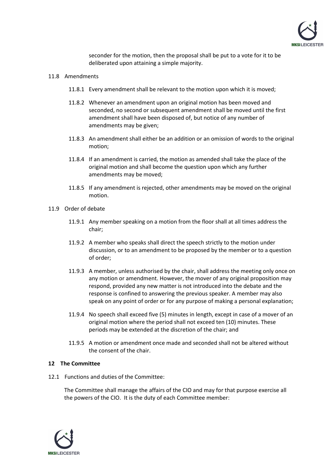

seconder for the motion, then the proposal shall be put to a vote for it to be deliberated upon attaining a simple majority.

#### 11.8 Amendments

- 11.8.1 Every amendment shall be relevant to the motion upon which it is moved;
- 11.8.2 Whenever an amendment upon an original motion has been moved and seconded, no second or subsequent amendment shall be moved until the first amendment shall have been disposed of, but notice of any number of amendments may be given;
- 11.8.3 An amendment shall either be an addition or an omission of words to the original motion;
- 11.8.4 If an amendment is carried, the motion as amended shall take the place of the original motion and shall become the question upon which any further amendments may be moved;
- 11.8.5 If any amendment is rejected, other amendments may be moved on the original motion.
- 11.9 Order of debate
	- 11.9.1 Any member speaking on a motion from the floor shall at all times address the chair;
	- 11.9.2 A member who speaks shall direct the speech strictly to the motion under discussion, or to an amendment to be proposed by the member or to a question of order;
	- 11.9.3 A member, unless authorised by the chair, shall address the meeting only once on any motion or amendment. However, the mover of any original proposition may respond, provided any new matter is not introduced into the debate and the response is confined to answering the previous speaker. A member may also speak on any point of order or for any purpose of making a personal explanation;
	- 11.9.4 No speech shall exceed five (5) minutes in length, except in case of a mover of an original motion where the period shall not exceed ten (10) minutes. These periods may be extended at the discretion of the chair; and
	- 11.9.5 A motion or amendment once made and seconded shall not be altered without the consent of the chair.

#### **12 The Committee**

12.1 Functions and duties of the Committee:

The Committee shall manage the affairs of the CIO and may for that purpose exercise all the powers of the CIO. It is the duty of each Committee member:

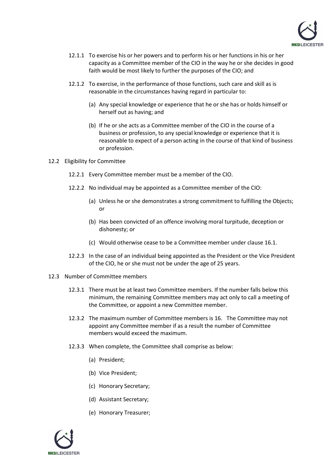

- 12.1.1 To exercise his or her powers and to perform his or her functions in his or her capacity as a Committee member of the CIO in the way he or she decides in good faith would be most likely to further the purposes of the CIO; and
- 12.1.2 To exercise, in the performance of those functions, such care and skill as is reasonable in the circumstances having regard in particular to:
	- (a) Any special knowledge or experience that he or she has or holds himself or herself out as having; and
	- (b) If he or she acts as a Committee member of the CIO in the course of a business or profession, to any special knowledge or experience that it is reasonable to expect of a person acting in the course of that kind of business or profession.
- 12.2 Eligibility for Committee
	- 12.2.1 Every Committee member must be a member of the CIO.
	- 12.2.2 No individual may be appointed as a Committee member of the CIO:
		- (a) Unless he or she demonstrates a strong commitment to fulfilling the Objects; or
		- (b) Has been convicted of an offence involving moral turpitude, deception or dishonesty; or
		- (c) Would otherwise cease to be a Committee member under clause [16.1.](#page-17-1)
	- 12.2.3 In the case of an individual being appointed as the President or the Vice President of the CIO, he or she must not be under the age of 25 years.
- 12.3 Number of Committee members
	- 12.3.1 There must be at least two Committee members. If the number falls below this minimum, the remaining Committee members may act only to call a meeting of the Committee, or appoint a new Committee member.
	- 12.3.2 The maximum number of Committee members is 16. The Committee may not appoint any Committee member if as a result the number of Committee members would exceed the maximum.
	- 12.3.3 When complete, the Committee shall comprise as below:
		- (a) President;
		- (b) Vice President;
		- (c) Honorary Secretary;
		- (d) Assistant Secretary;
		- (e) Honorary Treasurer;

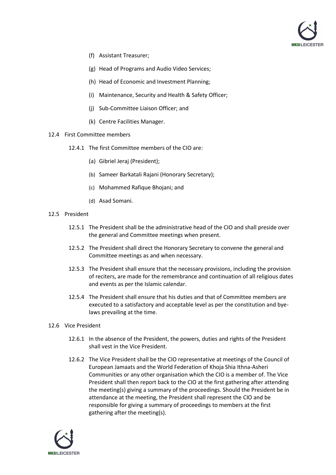

- (f) Assistant Treasurer;
- (g) Head of Programs and Audio Video Services;
- (h) Head of Economic and Investment Planning;
- (i) Maintenance, Security and Health & Safety Officer;
- (j) Sub-Committee Liaison Officer; and
- (k) Centre Facilities Manager.
- 12.4 First Committee members
	- 12.4.1 The first Committee members of the CIO are:
		- (a) Gibriel Jeraj (President);
		- (b) Sameer Barkatali Rajani (Honorary Secretary);
		- (c) Mohammed Rafique Bhojani; and
		- (d) Asad Somani.
- 12.5 President
	- 12.5.1 The President shall be the administrative head of the CIO and shall preside over the general and Committee meetings when present.
	- 12.5.2 The President shall direct the Honorary Secretary to convene the general and Committee meetings as and when necessary.
	- 12.5.3 The President shall ensure that the necessary provisions, including the provision of reciters, are made for the remembrance and continuation of all religious dates and events as per the Islamic calendar.
	- 12.5.4 The President shall ensure that his duties and that of Committee members are executed to a satisfactory and acceptable level as per the constitution and byelaws prevailing at the time.

#### 12.6 Vice President

- 12.6.1 In the absence of the President, the powers, duties and rights of the President shall vest in the Vice President.
- 12.6.2 The Vice President shall be the CIO representative at meetings of the Council of European Jamaats and the World Federation of Khoja Shia Ithna-Asheri Communities or any other organisation which the CIO is a member of. The Vice President shall then report back to the CIO at the first gathering after attending the meeting(s) giving a summary of the proceedings. Should the President be in attendance at the meeting, the President shall represent the CIO and be responsible for giving a summary of proceedings to members at the first gathering after the meeting(s).

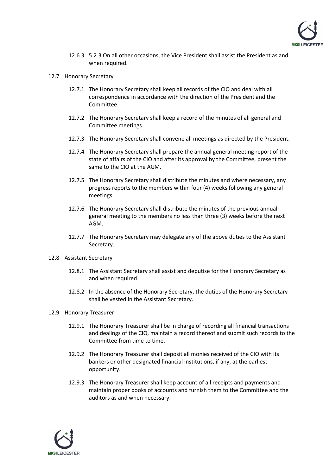

- 12.6.3 5.2.3 On all other occasions, the Vice President shall assist the President as and when required.
- 12.7 Honorary Secretary
	- 12.7.1 The Honorary Secretary shall keep all records of the CIO and deal with all correspondence in accordance with the direction of the President and the Committee.
	- 12.7.2 The Honorary Secretary shall keep a record of the minutes of all general and Committee meetings.
	- 12.7.3 The Honorary Secretary shall convene all meetings as directed by the President.
	- 12.7.4 The Honorary Secretary shall prepare the annual general meeting report of the state of affairs of the CIO and after its approval by the Committee, present the same to the CIO at the AGM.
	- 12.7.5 The Honorary Secretary shall distribute the minutes and where necessary, any progress reports to the members within four (4) weeks following any general meetings.
	- 12.7.6 The Honorary Secretary shall distribute the minutes of the previous annual general meeting to the members no less than three (3) weeks before the next AGM.
	- 12.7.7 The Honorary Secretary may delegate any of the above duties to the Assistant Secretary.
- 12.8 Assistant Secretary
	- 12.8.1 The Assistant Secretary shall assist and deputise for the Honorary Secretary as and when required.
	- 12.8.2 In the absence of the Honorary Secretary, the duties of the Honorary Secretary shall be vested in the Assistant Secretary.
- 12.9 Honorary Treasurer
	- 12.9.1 The Honorary Treasurer shall be in charge of recording all financial transactions and dealings of the CIO, maintain a record thereof and submit such records to the Committee from time to time.
	- 12.9.2 The Honorary Treasurer shall deposit all monies received of the CIO with its bankers or other designated financial institutions, if any, at the earliest opportunity.
	- 12.9.3 The Honorary Treasurer shall keep account of all receipts and payments and maintain proper books of accounts and furnish them to the Committee and the auditors as and when necessary.

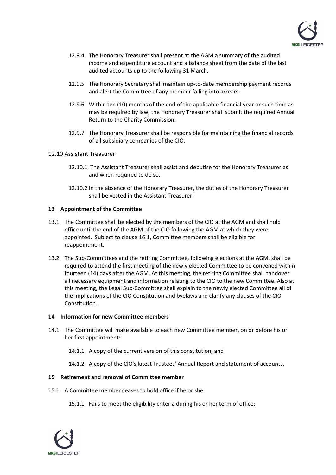

- 12.9.4 The Honorary Treasurer shall present at the AGM a summary of the audited income and expenditure account and a balance sheet from the date of the last audited accounts up to the following 31 March.
- 12.9.5 The Honorary Secretary shall maintain up-to-date membership payment records and alert the Committee of any member falling into arrears.
- 12.9.6 Within ten (10) months of the end of the applicable financial year or such time as may be required by law, the Honorary Treasurer shall submit the required Annual Return to the Charity Commission.
- 12.9.7 The Honorary Treasurer shall be responsible for maintaining the financial records of all subsidiary companies of the CIO.
- 12.10 Assistant Treasurer
	- 12.10.1 The Assistant Treasurer shall assist and deputise for the Honorary Treasurer as and when required to do so.
	- 12.10.2 In the absence of the Honorary Treasurer, the duties of the Honorary Treasurer shall be vested in the Assistant Treasurer.

## **13 Appointment of the Committee**

- 13.1 The Committee shall be elected by the members of the CIO at the AGM and shall hold office until the end of the AGM of the CIO following the AGM at which they were appointed. Subject to clause [16.1,](#page-17-1) Committee members shall be eligible for reappointment.
- 13.2 The Sub-Committees and the retiring Committee, following elections at the AGM, shall be required to attend the first meeting of the newly elected Committee to be convened within fourteen (14) days after the AGM. At this meeting, the retiring Committee shall handover all necessary equipment and information relating to the CIO to the new Committee. Also at this meeting, the Legal Sub-Committee shall explain to the newly elected Committee all of the implications of the CIO Constitution and byelaws and clarify any clauses of the CIO Constitution.

#### **14 Information for new Committee members**

- 14.1 The Committee will make available to each new Committee member, on or before his or her first appointment:
	- 14.1.1 A copy of the current version of this constitution; and
	- 14.1.2 A copy of the ClO's latest Trustees' Annual Report and statement of accounts.

#### **15 Retirement and removal of Committee member**

- 15.1 A Committee member ceases to hold office if he or she:
	- 15.1.1 Fails to meet the eligibility criteria during his or her term of office;

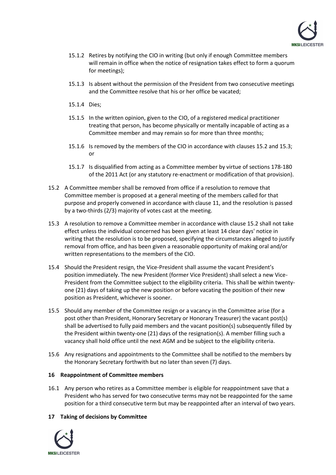

- 15.1.2 Retires by notifying the CIO in writing (but only if enough Committee members will remain in office when the notice of resignation takes effect to form a quorum for meetings);
- 15.1.3 Is absent without the permission of the President from two consecutive meetings and the Committee resolve that his or her office be vacated;
- 15.1.4 Dies;
- 15.1.5 In the written opinion, given to the CIO, of a registered medical practitioner treating that person, has become physically or mentally incapable of acting as a Committee member and may remain so for more than three months;
- 15.1.6 Is removed by the members of the CIO in accordance with clauses [15.2](#page-17-0) and [15.3;](#page-17-2) or
- 15.1.7 Is disqualified from acting as a Committee member by virtue of sections 178-180 of the 2011 Act (or any statutory re-enactment or modification of that provision).
- <span id="page-17-0"></span>15.2 A Committee member shall be removed from office if a resolution to remove that Committee member is proposed at a general meeting of the members called for that purpose and properly convened in accordance with clause [11,](#page-8-3) and the resolution is passed by a two-thirds (2/3) majority of votes cast at the meeting.
- <span id="page-17-2"></span>15.3 A resolution to remove a Committee member in accordance with clause [15.2](#page-17-0) shall not take effect unless the individual concerned has been given at least 14 clear days' notice in writing that the resolution is to be proposed, specifying the circumstances alleged to justify removal from office, and has been given a reasonable opportunity of making oral and/or written representations to the members of the CIO.
- 15.4 Should the President resign, the Vice-President shall assume the vacant President's position immediately. The new President (former Vice President) shall select a new Vice-President from the Committee subject to the eligibility criteria. This shall be within twentyone (21) days of taking up the new position or before vacating the position of their new position as President, whichever is sooner.
- 15.5 Should any member of the Committee resign or a vacancy in the Committee arise (for a post other than President, Honorary Secretary or Honorary Treasurer) the vacant post(s) shall be advertised to fully paid members and the vacant position(s) subsequently filled by the President within twenty-one (21) days of the resignation(s). A member filling such a vacancy shall hold office until the next AGM and be subject to the eligibility criteria.
- 15.6 Any resignations and appointments to the Committee shall be notified to the members by the Honorary Secretary forthwith but no later than seven (7) days.

#### **16 Reappointment of Committee members**

<span id="page-17-1"></span>16.1 Any person who retires as a Committee member is eligible for reappointment save that a President who has served for two consecutive terms may not be reappointed for the same position for a third consecutive term but may be reappointed after an interval of two years.

# **17 Taking of decisions by Committee**

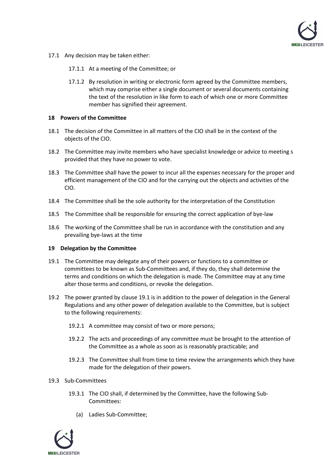

- 17.1 Any decision may be taken either:
	- 17.1.1 At a meeting of the Committee; or
	- 17.1.2 By resolution in writing or electronic form agreed by the Committee members, which may comprise either a single document or several documents containing the text of the resolution in like form to each of which one or more Committee member has signified their agreement.

## **18 Powers of the Committee**

- 18.1 The decision of the Committee in all matters of the CIO shall be in the context of the objects of the CIO.
- 18.2 The Committee may invite members who have specialist knowledge or advice to meeting s provided that they have no power to vote.
- 18.3 The Committee shall have the power to incur all the expenses necessary for the proper and efficient management of the CIO and for the carrying out the objects and activities of the CIO.
- 18.4 The Committee shall be the sole authority for the interpretation of the Constitution
- 18.5 The Committee shall be responsible for ensuring the correct application of bye-law
- 18.6 The working of the Committee shall be run in accordance with the constitution and any prevailing bye-laws at the time

#### **19 Delegation by the Committee**

- <span id="page-18-0"></span>19.1 The Committee may delegate any of their powers or functions to a committee or committees to be known as Sub-Committees and, if they do, they shall determine the terms and conditions on which the delegation is made. The Committee may at any time alter those terms and conditions, or revoke the delegation.
- 19.2 The power granted by clause [19.1](#page-18-0) is in addition to the power of delegation in the General Regulations and any other power of delegation available to the Committee, but is subject to the following requirements:
	- 19.2.1 A committee may consist of two or more persons;
	- 19.2.2 The acts and proceedings of any committee must be brought to the attention of the Committee as a whole as soon as is reasonably practicable; and
	- 19.2.3 The Committee shall from time to time review the arrangements which they have made for the delegation of their powers.
- 19.3 Sub-Committees
	- 19.3.1 The CIO shall, if determined by the Committee, have the following Sub-Committees:
		- (a) Ladies Sub-Committee;

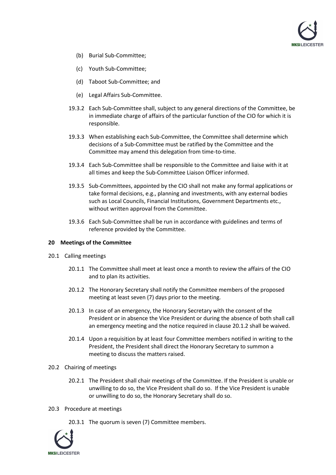

- (b) Burial Sub-Committee;
- (c) Youth Sub-Committee;
- (d) Taboot Sub-Committee; and
- (e) Legal Affairs Sub-Committee.
- 19.3.2 Each Sub-Committee shall, subject to any general directions of the Committee, be in immediate charge of affairs of the particular function of the CIO for which it is responsible.
- 19.3.3 When establishing each Sub-Committee, the Committee shall determine which decisions of a Sub-Committee must be ratified by the Committee and the Committee may amend this delegation from time-to-time.
- 19.3.4 Each Sub-Committee shall be responsible to the Committee and liaise with it at all times and keep the Sub-Committee Liaison Officer informed.
- 19.3.5 Sub-Committees, appointed by the CIO shall not make any formal applications or take formal decisions, e.g., planning and investments, with any external bodies such as Local Councils, Financial Institutions, Government Departments etc., without written approval from the Committee.
- 19.3.6 Each Sub-Committee shall be run in accordance with guidelines and terms of reference provided by the Committee.

#### **20 Meetings of the Committee**

- <span id="page-19-1"></span><span id="page-19-0"></span>20.1 Calling meetings
	- 20.1.1 The Committee shall meet at least once a month to review the affairs of the CIO and to plan its activities.
	- 20.1.2 The Honorary Secretary shall notify the Committee members of the proposed meeting at least seven (7) days prior to the meeting.
	- 20.1.3 In case of an emergency, the Honorary Secretary with the consent of the President or in absence the Vice President or during the absence of both shall call an emergency meeting and the notice required in clause [20.1.2](#page-19-0) shall be waived.
	- 20.1.4 Upon a requisition by at least four Committee members notified in writing to the President, the President shall direct the Honorary Secretary to summon a meeting to discuss the matters raised.
- 20.2 Chairing of meetings
	- 20.2.1 The President shall chair meetings of the Committee. If the President is unable or unwilling to do so, the Vice President shall do so. If the Vice President is unable or unwilling to do so, the Honorary Secretary shall do so.
- 20.3 Procedure at meetings

20.3.1 The quorum is seven (7) Committee members.

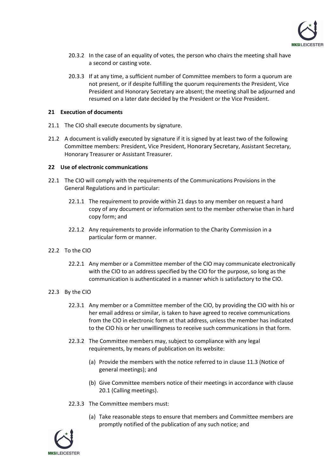

- 20.3.2 In the case of an equality of votes, the person who chairs the meeting shall have a second or casting vote.
- 20.3.3 If at any time, a sufficient number of Committee members to form a quorum are not present, or if despite fulfilling the quorum requirements the President, Vice President and Honorary Secretary are absent; the meeting shall be adjourned and resumed on a later date decided by the President or the Vice President.

## **21 Execution of documents**

- 21.1 The CIO shall execute documents by signature.
- 21.2 A document is validly executed by signature if it is signed by at least two of the following Committee members: President, Vice President, Honorary Secretary, Assistant Secretary, Honorary Treasurer or Assistant Treasurer.

## **22 Use of electronic communications**

- 22.1 The CIO will comply with the requirements of the Communications Provisions in the General Regulations and in particular:
	- 22.1.1 The requirement to provide within 21 days to any member on request a hard copy of any document or information sent to the member otherwise than in hard copy form; and
	- 22.1.2 Any requirements to provide information to the Charity Commission in a particular form or manner.
- 22.2 To the CIO
	- 22.2.1 Any member or a Committee member of the CIO may communicate electronically with the CIO to an address specified by the CIO for the purpose, so long as the communication is authenticated in a manner which is satisfactory to the CIO.
- 22.3 By the CIO
	- 22.3.1 Any member or a Committee member of the CIO, by providing the CIO with his or her email address or similar, is taken to have agreed to receive communications from the CIO in electronic form at that address, unless the member has indicated to the CIO his or her unwillingness to receive such communications in that form.
	- 22.3.2 The Committee members may, subject to compliance with any legal requirements, by means of publication on its website:
		- (a) Provide the members with the notice referred to in clause [11.3](#page-10-4) (Notice of general meetings); and
		- (b) Give Committee members notice of their meetings in accordance with clause [20.1](#page-19-1) (Calling meetings).
	- 22.3.3 The Committee members must:
		- (a) Take reasonable steps to ensure that members and Committee members are promptly notified of the publication of any such notice; and

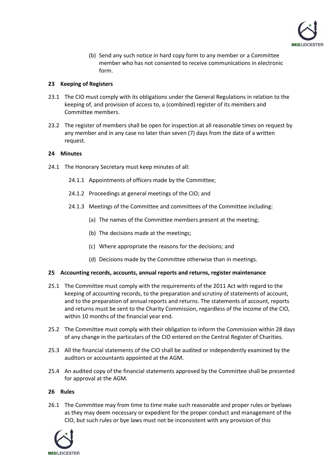

(b) Send any such notice in hard copy form to any member or a Committee member who has not consented to receive communications in electronic form.

## **23 Keeping of Registers**

- 23.1 The CIO must comply with its obligations under the General Regulations in relation to the keeping of, and provision of access to, a (combined) register of its members and Committee members.
- 23.2 The register of members shall be open for inspection at all reasonable times on request by any member and in any case no later than seven (7) days from the date of a written request.

## **24 Minutes**

- 24.1 The Honorary Secretary must keep minutes of all:
	- 24.1.1 Appointments of officers made by the Committee;
	- 24.1.2 Proceedings at general meetings of the CIO; and
	- 24.1.3 Meetings of the Committee and committees of the Committee including:
		- (a) The names of the Committee members present at the meeting;
		- (b) The decisions made at the meetings;
		- (c) Where appropriate the reasons for the decisions; and
		- (d) Decisions made by the Committee otherwise than in meetings.

#### **25 Accounting records, accounts, annual reports and returns, register maintenance**

- 25.1 The Committee must comply with the requirements of the 2011 Act with regard to the keeping of accounting records, to the preparation and scrutiny of statements of account, and to the preparation of annual reports and returns. The statements of account, reports and returns must be sent to the Charity Commission, regardless of the income of the CIO, within 10 months of the financial year end.
- 25.2 The Committee must comply with their obligation to inform the Commission within 28 days of any change in the particulars of the CIO entered on the Central Register of Charities.
- 25.3 All the financial statements of the CIO shall be audited or independently examined by the auditors or accountants appointed at the AGM.
- 25.4 An audited copy of the financial statements approved by the Committee shall be presented for approval at the AGM.

#### **26 Rules**

26.1 The Committee may from time to time make such reasonable and proper rules or byelaws as they may deem necessary or expedient for the proper conduct and management of the CIO, but such rules or bye laws must not be inconsistent with any provision of this

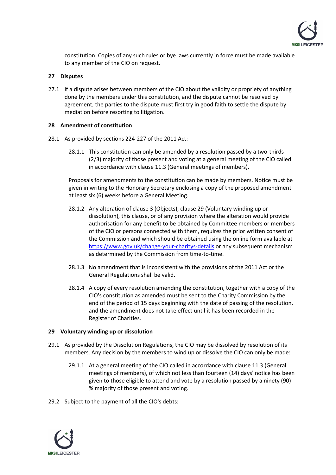

constitution. Copies of any such rules or bye laws currently in force must be made available to any member of the CIO on request.

## **27 Disputes**

27.1 If a dispute arises between members of the CIO about the validity or propriety of anything done by the members under this constitution, and the dispute cannot be resolved by agreement, the parties to the dispute must first try in good faith to settle the dispute by mediation before resorting to litigation.

#### <span id="page-22-0"></span>**28 Amendment of constitution**

- 28.1 As provided by sections 224-227 of the 2011 Act:
	- 28.1.1 This constitution can only be amended by a resolution passed by a two-thirds (2/3) majority of those present and voting at a general meeting of the CIO called in accordance with clause [11.3](#page-10-4) (General meetings of members).

Proposals for amendments to the constitution can be made by members. Notice must be given in writing to the Honorary Secretary enclosing a copy of the proposed amendment at least six (6) weeks before a General Meeting.

- 28.1.2 Any alteration of claus[e 3](#page-1-1) (Objects), clause [29](#page-22-1) (Voluntary winding up or dissolution), this clause, or of any provision where the alteration would provide authorisation for any benefit to be obtained by Committee members or members of the CIO or persons connected with them, requires the prior written consent of the Commission and which should be obtained using the online form available at <https://www.gov.uk/change-your-charitys-details> or any subsequent mechanism as determined by the Commission from time-to-time.
- 28.1.3 No amendment that is inconsistent with the provisions of the 2011 Act or the General Regulations shall be valid.
- 28.1.4 A copy of every resolution amending the constitution, together with a copy of the CIO's constitution as amended must be sent to the Charity Commission by the end of the period of 15 days beginning with the date of passing of the resolution, and the amendment does not take effect until it has been recorded in the Register of Charities.

#### <span id="page-22-1"></span>**29 Voluntary winding up or dissolution**

- 29.1 As provided by the Dissolution Regulations, the CIO may be dissolved by resolution of its members. Any decision by the members to wind up or dissolve the CIO can only be made:
	- 29.1.1 At a general meeting of the CIO called in accordance with claus[e 11.3](#page-10-4) (General meetings of members), of which not less than fourteen (14) days' notice has been given to those eligible to attend and vote by a resolution passed by a ninety (90) % majority of those present and voting.
- 29.2 Subject to the payment of all the CIO's debts:

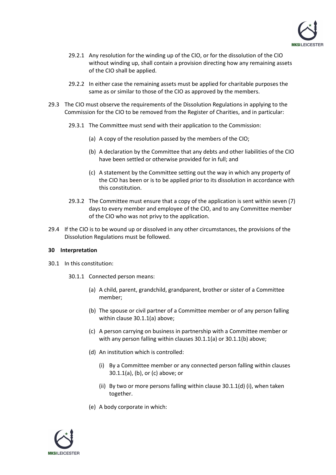

- 29.2.1 Any resolution for the winding up of the CIO, or for the dissolution of the CIO without winding up, shall contain a provision directing how any remaining assets of the CIO shall be applied.
- 29.2.2 In either case the remaining assets must be applied for charitable purposes the same as or similar to those of the CIO as approved by the members.
- 29.3 The CIO must observe the requirements of the Dissolution Regulations in applying to the Commission for the CIO to be removed from the Register of Charities, and in particular:
	- 29.3.1 The Committee must send with their application to the Commission:
		- (a) A copy of the resolution passed by the members of the CIO;
		- (b) A declaration by the Committee that any debts and other liabilities of the CIO have been settled or otherwise provided for in full; and
		- (c) A statement by the Committee setting out the way in which any property of the CIO has been or is to be applied prior to its dissolution in accordance with this constitution.
	- 29.3.2 The Committee must ensure that a copy of the application is sent within seven (7) days to every member and employee of the CIO, and to any Committee member of the CIO who was not privy to the application.
- 29.4 If the CIO is to be wound up or dissolved in any other circumstances, the provisions of the Dissolution Regulations must be followed.

#### <span id="page-23-0"></span>**30 Interpretation**

- <span id="page-23-4"></span><span id="page-23-3"></span><span id="page-23-2"></span><span id="page-23-1"></span>30.1 In this constitution:
	- 30.1.1 Connected person means:
		- (a) A child, parent, grandchild, grandparent, brother or sister of a Committee member;
		- (b) The spouse or civil partner of a Committee member or of any person falling within claus[e 30.1.1](#page-23-1)[\(a\)](#page-23-2) above;
		- (c) A person carrying on business in partnership with a Committee member or with any person falling within clauses [30.1.1](#page-23-1)[\(a\)](#page-23-2) o[r 30.1.1](#page-23-1)[\(b\)](#page-23-3) above;
		- (d) An institution which is controlled:
			- (i) By a Committee member or any connected person falling within clauses [30.1.1](#page-23-1)[\(a\),](#page-23-2) [\(b\),](#page-23-3) o[r \(c\)](#page-23-4) above; or
			- (ii) By two or more persons falling within clause [30.1.1\(](#page-23-1)d[\) \(i\),](#page-23-5) when taken together.
		- (e) A body corporate in which:

<span id="page-23-6"></span><span id="page-23-5"></span>